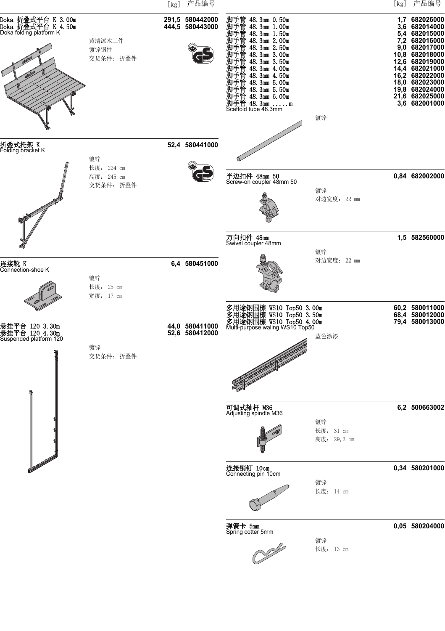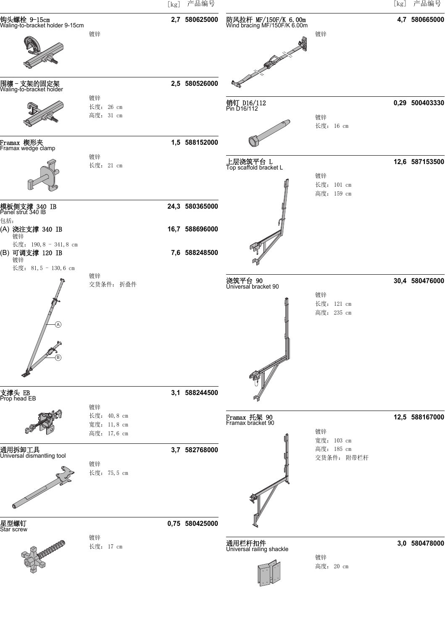